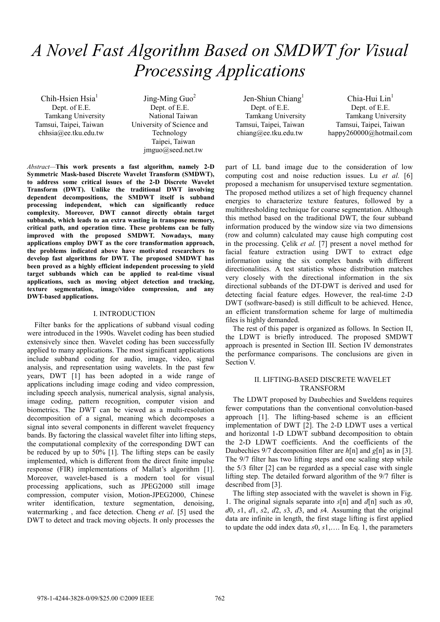# *A Novel Fast Algorithm Based on SMDWT for Visual Processing Applications*

Chih-Hsien  $H$ sia<sup>1</sup> Dept. of E.E. Tamkang University Tamsui, Taipei, Taiwan chhsia@ee.tku.edu.tw

Jing-Ming  $Guo<sup>2</sup>$ Dept. of E.E. National Taiwan University of Science and Technology Taipei, Taiwan jmguo@seed.net.tw

*Abstract—***This work presents a fast algorithm, namely 2-D Symmetric Mask-based Discrete Wavelet Transform (SMDWT), to address some critical issues of the 2-D Discrete Wavelet Transform (DWT). Unlike the traditional DWT involving dependent decompositions, the SMDWT itself is subband processing independent, which can significantly reduce complexity. Moreover, DWT cannot directly obtain target subbands, which leads to an extra wasting in transpose memory, critical path, and operation time. These problems can be fully improved with the proposed SMDWT. Nowadays, many applications employ DWT as the core transformation approach, the problems indicated above have motivated researchers to develop fast algorithms for DWT. The proposed SMDWT has been proved as a highly efficient independent processing to yield target subbands which can be applied to real-time visual applications, such as moving object detection and tracking, texture segmentation, image/video compression, and any DWT-based applications.**

# I. INTRODUCTION

Filter banks for the applications of subband visual coding were introduced in the 1990s. Wavelet coding has been studied extensively since then. Wavelet coding has been successfully applied to many applications. The most significant applications include subband coding for audio, image, video, signal analysis, and representation using wavelets. In the past few years, DWT [1] has been adopted in a wide range of applications including image coding and video compression, including speech analysis, numerical analysis, signal analysis, image coding, pattern recognition, computer vision and biometrics. The DWT can be viewed as a multi-resolution decomposition of a signal, meaning which decomposes a signal into several components in different wavelet frequency bands. By factoring the classical wavelet filter into lifting steps, the computational complexity of the corresponding DWT can be reduced by up to 50% [1]. The lifting steps can be easily implemented, which is different from the direct finite impulse response (FIR) implementations of Mallat's algorithm [1]. Moreover, wavelet-based is a modern tool for visual processing applications, such as JPEG2000 still image compression, computer vision, Motion-JPEG2000, Chinese writer identification, texture segmentation, denoising, watermarking , and face detection. Cheng *et al*. [5] used the DWT to detect and track moving objects. It only processes the

Jen-Shiun Chiang<sup>1</sup> Dept. of E.E. Tamkang University Tamsui, Taipei, Taiwan chiang@ee.tku.edu.tw

Chia-Hui Lin<sup>1</sup> Dept. of E.E. Tamkang University Tamsui, Taipei, Taiwan happy260000@hotmail.com

part of LL band image due to the consideration of low computing cost and noise reduction issues. Lu *et al.* [6] proposed a mechanism for unsupervised texture segmentation. The proposed method utilizes a set of high frequency channel energies to characterize texture features, followed by a multithresholding technique for coarse segmentation. Although this method based on the traditional DWT, the four subband information produced by the window size via two dimensions (row and column) calculated may cause high computing cost in the processing. Çelik *et al.* [7] present a novel method for facial feature extraction using DWT to extract edge information using the six complex bands with different directionalities. A test statistics whose distribution matches very closely with the directional information in the six directional subbands of the DT-DWT is derived and used for detecting facial feature edges. However, the real-time 2-D DWT (software-based) is still difficult to be achieved. Hence, an efficient transformation scheme for large of multimedia files is highly demanded.

The rest of this paper is organized as follows. In Section II, the LDWT is briefly introduced. The proposed SMDWT approach is presented in Section III. Section IV demonstrates the performance comparisons. The conclusions are given in Section V.

## II. LIFTING-BASED DISCRETE WAVELET TRANSFORM

The LDWT proposed by Daubechies and Sweldens requires fewer computations than the conventional convolution-based approach [1]. The lifting-based scheme is an efficient implementation of DWT [2]. The 2-D LDWT uses a vertical and horizontal 1-D LDWT subband decomposition to obtain the 2-D LDWT coefficients. And the coefficients of the Daubechies 9/7 decomposition filter are *h*[n] and *g*[n] as in [3]. The 9/7 filter has two lifting steps and one scaling step while the 5/3 filter [2] can be regarded as a special case with single lifting step. The detailed forward algorithm of the 9/7 filter is described from [3].

The lifting step associated with the wavelet is shown in Fig. 1. The original signals separate into *s*[n] and *d*[n] such as *s*0, *d*0, *s*1, *d*1, *s*2, *d*2, *s*3, *d*3, and *s*4. Assuming that the original data are infinite in length, the first stage lifting is first applied to update the odd index data *s*0, *s*1,…. In Eq. 1, the parameters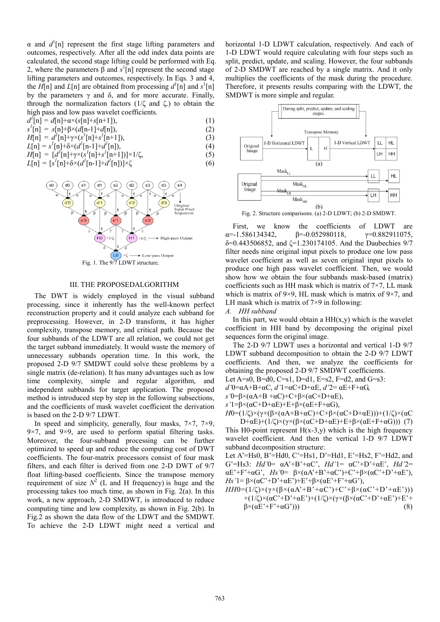$\alpha$  and  $d^1$ [n] represent the first stage lifting parameters and outcomes, respectively. After all the odd index data points are calculated, the second stage lifting could be performed with Eq. 2, where the parameters  $β$  and  $s<sup>1</sup>[n]$  represent the second stage lifting parameters and outcomes, respectively. In Eqs. 3 and 4, the *H*[n] and *L*[n] are obtained from processing  $d^1$ [n] and  $s^1$ [n] by the parameters  $\gamma$  and  $\delta$ , and for more accurate. Finally, through the normalization factors  $(1/\zeta$  and  $\zeta$ ) to obtain the high pass and low pass wavelet coefficients.

$$
d^{T}[n] = d[n] + \alpha \times (s[n] + s[n+1]),
$$
\n(1)

$$
s^{I}[n] = s[n] + \beta \times (d[n-1] + d[n]), \qquad (2)
$$

 $H[n] = d^{1}[n] + \gamma \times (s^{1}[n] + s^{1}[n+1]),$  (3)

$$
L[n] = s^{l}[n] + \delta \times (d^{l}[n-1] + d^{l}[n]),
$$
  
\n
$$
H[n] = [d^{l}[n] + \gamma \times (s^{l}[n] + s^{l}[n+1])] \times 1/\zeta,
$$
\n(5)

$$
L[n] = [s^{T}[n] + \delta \times (d^{T}[n-1] + d^{T}[n])] \times \zeta
$$
\n(6)



## III. THE PROPOSEDALGORITHM

The DWT is widely employed in the visual subband processing, since it inherently has the well-known perfect reconstruction property and it could analyze each subband for preprocessing. However, in 2-D transform, it has higher complexity, transpose memory, and critical path. Because the four subbands of the LDWT are all relation, we could not get the target subband immediately. It would waste the memory of unnecessary subbands operation time. In this work, the proposed 2-D 9/7 SMDWT could solve these problems by a single matrix (de-relation). It has many advantages such as low time complexity, simple and regular algorithm, and independent subbands for target application. The proposed method is introduced step by step in the following subsections, and the coefficients of mask wavelet coefficient the derivation is based on the 2-D 9/7 LDWT.

In speed and simplicity, generally, four masks, 7×7, 7×9,  $9\times7$ , and  $9\times9$ , are used to perform spatial filtering tasks. Moreover, the four-subband processing can be further optimized to speed up and reduce the computing cost of DWT coefficients. The four-matrix processors consist of four mask filters, and each filter is derived from one 2-D DWT of 9/7 float lifting-based coefficients. Since the transpose memory requirement of size  $N^2$  (L and H frequency) is huge and the processing takes too much time, as shown in Fig. 2(a). In this work, a new approach, 2-D SMDWT, is introduced to reduce computing time and low complexity, as shown in Fig. 2(b). In Fig.2 as shown the data flow of the LDWT and the SMDWT. To achieve the 2-D LDWT might need a vertical and

horizontal 1-D LDWT calculation, respectively. And each of 1-D LDWT would require calculating with four steps such as split, predict, update, and scaling. However, the four subbands of 2-D SMDWT are reached by a single matrix. And it only multiplies the coefficients of the mask during the procedure. Therefore, it presents results comparing with the LDWT, the SMDWT is more simple and regular.



Fig. 2. Structure comparisons. (a) 2-D LDWT; (b) 2-D SMDWT.

First, we know the coefficients of LDWT are  $\alpha$ =-1.586134342,  $\beta$ =-0.052980118,  $\gamma$ =0.882911075, δ=0.443506852, and ζ=1.230174105. And the Daubechies 9/7 filter needs nine original input pixels to produce one low pass wavelet coefficient as well as seven original input pixels to produce one high pass wavelet coefficient. Then, we would show how we obtain the four subbands mask-based (matrix) coefficients such as HH mask which is matrix of 7×7, LL mask which is matrix of  $9\times9$ , HL mask which is matrix of  $9\times7$ , and LH mask which is matrix of  $7\times9$  in following:

*A. HH subband* 

In this part, we would obtain a  $HH(x,y)$  which is the wavelet coefficient in HH band by decomposing the original pixel sequences form the original image.

The 2-D 9/7 LDWT uses a horizontal and vertical 1-D 9/7 LDWT subband decomposition to obtain the 2-D 9/7 LDWT coefficients. And then, we analyze the coefficients for obtaining the proposed 2-D 9/7 SMDWT coefficients.

Let  $A=s0$ ,  $B=00$ ,  $C=s1$ ,  $D=d1$ ,  $E=s2$ ,  $F=d2$ , and  $G=s3$ :

*d'*0=αA+B+αC, *d'*1=αC+D+αE, *d'*2= αE+F+αG,

*s'*0=β×(αA+B +αC)+C+β×(αC+D+αE),

*s'*1=β×(αC+D+αE)+E+β×(αE+F+αG),

*H*0=(1/ζ)×(γ×(β×(αA+B+αC)+C+β×(αC+D+αE)))+(1/ζ)×(αC

D+αE)+(1/ζ)×(γ×(β×(αC+D+αE)+E+β×(αE+F+αG))) (7) This H0-point represent  $H(x-3,y)$  which is the high frequency wavelet coefficient. And then the vertical 1-D 9/7 LDWT subband decomposition structure:

Let A'=Hs0, B'=Hd0, C'=Hs1, D'=Hd1, E'=Hs2, F'=Hd2, and G'=Hs3: *Hd'*0= αA'+B'+αC', *Hd'*1= αC'+D'+αE', *Hd'*2=  $\alpha E'+F'+\alpha G'$ , *Hs*'0=  $\beta \times (\alpha A'+B'+\alpha C')+C'+\beta \times (\alpha C'+D'+\alpha E')$ , *Hs*'1=  $\beta \times (\alpha C' + D' + \alpha E') + E' + \beta \times (\alpha E' + F' + \alpha G')$ ,

*HH*0= $(1/\zeta)\times(\gamma\times(\beta\times(\alpha A'+B'+\alpha C')+C'+\beta\times(\alpha C'+D'+\alpha E')))$ +(1/ζ)×( $\alpha$ C'+D'+ $\alpha$ E')+(1/ζ)×( $\gamma$ ×( $\beta$ ×( $\alpha$ C'+D'+ $\alpha$ E')+E'+  $\beta \times (\alpha E^{\prime} + F^{\prime} + \alpha G^{\prime})))$  (8)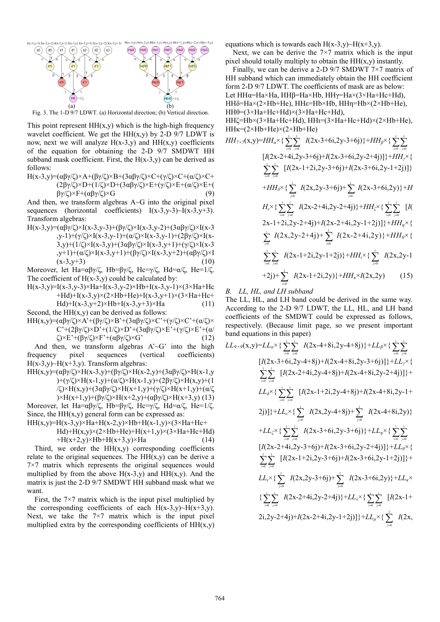

This point represent  $HH(x,y)$  which is the high-high frequency wavelet coefficient. We get the  $HH(x,y)$  by 2-D 9/7 LDWT is now, next we will analyze  $H(x-3,y)$  and  $HH(x,y)$  coefficients of the equation for obtaining the 2-D 9/7 SMDWT HH subband mask coefficient. First, the  $H(x-3, y)$  can be derived as follows:

H(x-3,y)=(αβγ/ζ)×A+(βγ/ζ)×B+(3αβγ/ζ)×C+(γ/ζ)×C+(α/ζ)×C+ (2βγ/ζ)×D+(1/ζ)×D+(3αβγ/ζ)×E+(γ/ζ)×E+(α/ζ)×E+(  $βγ/ζ)×F+(αβγ/ζ)×G$ 

And then, we transform algebras A~G into the original pixel sequences (horizontal coefficients)  $I(x-3,y-3) \sim I(x-3,y+3)$ . Transform algebras:

H(x-3,y)=(αβγ/ζ)×I(x-3,y-3)+(βγ/ζ)×I(x-3,y-2)+(3αβγ/ζ)×I(x-3  $(y-1)+(\gamma/\zeta)\times I(x-3,y-1)+(\alpha/\zeta)\times I(x-3,y-1)+(2\beta\gamma/\zeta)\times I(x-3,y-1)$ 3,y)+(1/ζ)×I(x-3,y)+(3αβγ/ζ)×I(x-3,y+1)+(γ/ζ)×I(x-3 ,y+1)+(α/ζ)×I(x-3,y+1)+(βγ/ζ)×I(x-3,y+2)+(αβγ/ζ)×I  $(x-3,y+3)$  (10)

Moreover, let Ha=αβγ/ζ, Hb=βγ/ζ, Hc=γ/ζ, Hd=α/ζ, He=1/ζ. The coefficient of  $H(x-3, y)$  could be calculated by:

 $H(x-3,y)=I(x-3,y-3)\times Ha+I(x-3,y-2)\times Hb+I(x-3,y-1)\times(3\times Ha+Hc)$ +Hd)+I(x-3,y) $\times$ (2×Hb+He)+I(x-3,y+1) $\times$ (3×Ha+Hc+  $Hd$ +I(x-3,y+2)×Hb+I(x-3,y+3)×Ha (11)

Second, the  $HH(x,y)$  can be derived as follows:

HH(x,y)=(αβγ/ζ)×A'+(βγ/ζ)×B'+(3αβγ/ζ)×C'+(γ/ζ)×C'+(α/ζ)× C'+(2βγ/ζ)×D'+(1/ζ)×D'+(3αβγ/ζ)×E'+(γ/ζ)×E'+(α/  $(\angle X) \times E' + (\frac{\beta \gamma}{\zeta}) \times F' + (\frac{\alpha \beta \gamma}{\zeta}) \times G'$  (12)

And then, we transform algebras  $A^{\prime}$  $\sim$ G' into the high frequency pixel sequences (vertical coefficients)  $H(x-3,y) \sim H(x+3,y)$ . Transform algebras:

HH(x,y)=(αβγ/ζ)×H(x-3,y)+(βγ/ζ)×H(x-2,y)+(3αβγ/ζ)×H(x-1,y )+(γ/ζ)×H(x-1,y)+(α/ζ)×H(x-1,y)+(2βγ/ζ)×H(x,y)+(1 /ζ)×H(x,y)+(3αβγ/ζ)×H(x+1,y)+(γ/ζ)×H(x+1,y)+(α/ζ )×H(x+1,y)+(βγ/ζ)×H(x+2,y)+(αβγ/ζ)×H(x+3,y) (13)

Moreover, let Ha=αβγ/ζ, Hb=βγ/ζ, Hc=γ/ζ, Hd=α/ζ, He=1/ζ. Since, the  $HH(x,y)$  general form can be expressed as:

- $HH(x,y)=H(x-3,y)\times Ha+H(x-2,y)\times Hb+H(x-1,y)\times(3\times Ha+Hc+$ 
	- Hd)+H(x,y) $\times$ (2×Hb+He)+H(x+1,y) $\times$ (3×Ha+Hc+Hd)  $+H(x+2,y)\times Hb+H(x+3,y)\times Ha$  (14)

Third, we order the  $HH(x,y)$  corresponding coefficients relate to the original sequences. The  $HH(x,y)$  can be derive a 7×7 matrix which represents the original sequences would multiplied by from the above  $H(x-3,y)$  and  $HH(x,y)$ . And the matrix is just the 2-D 9/7 SMDWT HH subband mask what we want.

First, the  $7\times7$  matrix which is the input pixel multiplied by the corresponding coefficients of each  $H(x-3,y) \sim H(x+3,y)$ . Next, we take the  $7\times7$  matrix which is the input pixel multiplied extra by the corresponding coefficients of  $HH(x,y)$  equations which is towards each  $H(x-3,y) \sim H(x+3,y)$ .

Next, we can be derive the  $7\times7$  matrix which is the input pixel should totally multiply to obtain the  $HH(x,y)$  instantly.

Finally, we can be derive a 2-D 9/7 SMDWT  $7\times7$  matrix of HH subband which can immediately obtain the HH coefficient form 2-D 9/7 LDWT. The coefficients of mask are as below: Let HHα=Ha×Ha, HHβ=Ha×Hb, HHγ=Ha×(3×Ha+Hc+Hd), HHδ=Ha×(2×Hb+He), HHε=Hb×Hb, HHη=Hb×(2×Hb+He),  $HH\theta = (3 \times Ha + Hc + Hd) \times (3 \times Ha + Hc + Hd)$ ,

HHζ=Hb×(3×Ha+Hc+Hd), HHι=(3×Ha+Hc+Hd)×(2×Hb+He),  $HHK=(2\times Hb+He)\times(2\times Hb+He)$ 

$$
HH_{7\times7}(x,y)=HH_{\alpha}\left\{\sum_{i=0}^{1}\sum_{j=0}^{1}I(2x-3+6i,2y-3+6j)\right\}+HH_{\beta}\times\left\{\sum_{i=0}^{1}\sum_{j=0}^{1}I(2x-2+4i,2y-3+6j)+I(2x-3+6i,2y-2+4j)]\right\}+HH_{\gamma}\times\left\{\sum_{i=0}^{1}\sum_{j=0}^{1}[I(2x-1+2i,2y-3+6j)+I(2x-3+6i,2y-1+2j)]\right\}
$$

$$
+HH_{\delta}\times\left\{\sum_{i=0}^{1}\sum_{j=0}^{1}I(2x,2y-3+6j)+\sum_{i=0}^{1}\sum_{j=0}^{1}(2x-3+6i,2y)\right\}+H_{\alpha}\times\left\{\sum_{i=0}^{1}\sum_{j=0}^{1}\sum_{j=0}^{1}(2x-2+4i,2y-2+4j)+HH_{\zeta}\times\left\{\sum_{i=0}^{1}\sum_{j=0}^{1}\sum_{j=0}^{1}(I(2x,2y-2+4j)+I(2x-2+4i,2y-1+2j))\right\}+HH_{\eta}\times\left\{\sum_{i=0}^{1}\sum_{j=0}^{1}(I(2x,2y-2+4j)+\sum_{i=0}^{1}(I(2x-2+4i,2y))+HH_{\theta}\times\left\{\sum_{i=0}^{1}\sum_{j=0}^{1}(I(2x-1+2i,2y-1+2j))\right\}+HH_{\zeta}\times\left\{\sum_{i=0}^{1}\sum_{j=0}^{1}(I(2x-1+2i,2y-1+2j))\right\}+HH_{\zeta}\times I(2x,2y-1+2j)+\sum_{i=0}^{1}(I(2x-1+2i,2y))+HH_{\kappa}\times I(2x,2y)
$$
(15)

*B. LL, HL, and LH subband* 

The LL, HL, and LH band could be derived in the same way. According to the 2-D 9/7 LDWT, the LL, HL, and LH band coefficients of the SMDWT could be expressed as follows, respectively. (Because limit page, so we present important band equations in this paper)

$$
LL_{9\times9}(x,y)=LL_{\alpha}\times\{\sum_{i=0}^{1}\sum_{j=0}^{1}I(2x-4+8i,2y-4+8j)\}+LL_{\beta}\times\{\sum_{i=0}^{1}\sum_{j=0}^{1}I(2x-3+6i,2y-4+8j)+I(2x-4+8i,2y-3+6j)]\}+LL_{\gamma}\times\{\sum_{i=0}^{1}\sum_{j=0}^{1}[I(2x-2+4i,2y-4+8j)+I(2x-4+8i,2y-2+4j)]\}+LL_{\delta}\times\{\sum_{i=0}^{1}\sum_{j=0}^{1}[I(2x-1+2i,2y-4+8j)+I(2x-4+8i,2y-1+2j)]\}+LL_{\epsilon}\times\{\sum_{i=0}^{1}\sum_{j=0}^{1}[I(2x-2+4i,2y-3+6j)+\sum_{j=0}^{1}[I(2x-4+8i,2y)]\}+LL_{\epsilon}\times\{\sum_{i=0}^{1}\sum_{j=0}^{1}[I(2x-3+6i,2y-3+6j)+I(2x-3+6i,2y-2+4j)]\}+LL_{\theta}\times\{\sum_{i=0}^{1}\sum_{j=0}^{1}[I(2x-1+2i,2y-3+6j)+I(2x-3+6i,2y-1+2j)]\}+LL_{\epsilon}\times\{\sum_{i=0}^{1}\sum_{j=0}^{1}[I(2x-1+2i,2y-3+6j)+I(2x-3+6i,2y-1+2j)]\}+LL_{\epsilon}\times\{\sum_{i=0}^{1}\sum_{j=0}^{1}[I(2x-2+4i,2y-2+4j)+LL_{\epsilon}\times\{\sum_{i=0}^{1}\sum_{j=0}^{1}[I(2x-1+2i,2y-2+4j)+L_{\epsilon}\times\{\sum_{i=0}^{1}\sum_{j=0}^{1}[I(2x-1+2i,2y-2+4j)+L_{\epsilon}\times\{\sum_{i=0}^{1}\sum_{j=0}^{1}[I(2x-1+2i,2y-2+4j)+L_{\epsilon}\times\{\sum_{i=0}^{1}\sum_{j=0}^{1}[I(2x-1+2i,2y-1+2j)]\}+LL_{\epsilon}\times\{\sum_{i=0}^{1}[I(2
$$